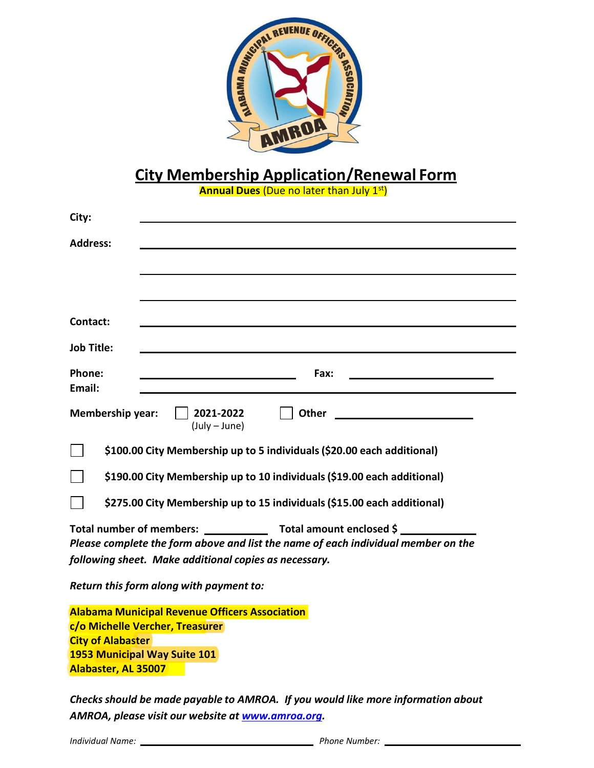

# **City Membership Application/Renewal Form**

**Annual Dues** (Due no later than July 1st)

| City:                                                 |                                                                                   |  |  |  |  |
|-------------------------------------------------------|-----------------------------------------------------------------------------------|--|--|--|--|
| <b>Address:</b>                                       |                                                                                   |  |  |  |  |
|                                                       |                                                                                   |  |  |  |  |
|                                                       |                                                                                   |  |  |  |  |
|                                                       |                                                                                   |  |  |  |  |
| Contact:                                              |                                                                                   |  |  |  |  |
| <b>Job Title:</b>                                     |                                                                                   |  |  |  |  |
| Phone:<br>Email:                                      | Fax:                                                                              |  |  |  |  |
| <b>Membership year:</b>                               | 2021-2022<br>Other<br>$(July - June)$                                             |  |  |  |  |
|                                                       | \$100.00 City Membership up to 5 individuals (\$20.00 each additional)            |  |  |  |  |
|                                                       | \$190.00 City Membership up to 10 individuals (\$19.00 each additional)           |  |  |  |  |
|                                                       | \$275.00 City Membership up to 15 individuals (\$15.00 each additional)           |  |  |  |  |
| <b>Total number of members:</b>                       | Total amount enclosed \$                                                          |  |  |  |  |
|                                                       | Please complete the form above and list the name of each individual member on the |  |  |  |  |
| following sheet. Make additional copies as necessary. |                                                                                   |  |  |  |  |
|                                                       | Return this form along with payment to:                                           |  |  |  |  |
|                                                       | <b>Alabama Municipal Revenue Officers Association</b>                             |  |  |  |  |
|                                                       | c/o Michelle Vercher, Treasurer                                                   |  |  |  |  |
| <b>City of Alabaster</b>                              |                                                                                   |  |  |  |  |
|                                                       | 1953 Municipal Way Suite 101                                                      |  |  |  |  |
| Alabaster, AL 35007                                   |                                                                                   |  |  |  |  |

*Checksshould be made payable to AMROA. If you would like more information about AMROA, please visit our website at [www.amroa.org.](http://www.amroa.org/)*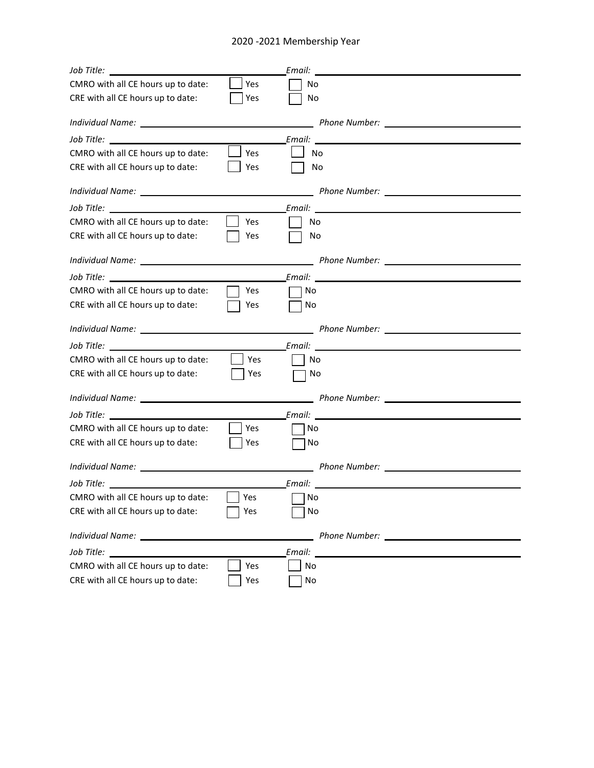#### 2020 -2021 Membership Year

| CMRO with all CE hours up to date:                                                                   | Yes | No     |                                                                                                                                                                                                                                     |  |
|------------------------------------------------------------------------------------------------------|-----|--------|-------------------------------------------------------------------------------------------------------------------------------------------------------------------------------------------------------------------------------------|--|
| CRE with all CE hours up to date:                                                                    | Yes | No     |                                                                                                                                                                                                                                     |  |
|                                                                                                      |     |        |                                                                                                                                                                                                                                     |  |
| Job Title: The State of The State of The State of The State of The State of The State of The State o |     |        | Email: Annual Communication of the Communication of the Communication of the Communication of the Communication                                                                                                                     |  |
| CMRO with all CE hours up to date:                                                                   | Yes | No     |                                                                                                                                                                                                                                     |  |
| CRE with all CE hours up to date:                                                                    | Yes | No.    |                                                                                                                                                                                                                                     |  |
|                                                                                                      |     |        | Phone Number: <u>___________________________</u>                                                                                                                                                                                    |  |
|                                                                                                      |     |        | <b>Email:</b> Email: All and the second second second second second second second second second second second second second second second second second second second second second second second second second second second secon |  |
| CMRO with all CE hours up to date:                                                                   | Yes | No     |                                                                                                                                                                                                                                     |  |
| CRE with all CE hours up to date:                                                                    | Yes | No     |                                                                                                                                                                                                                                     |  |
|                                                                                                      |     |        | __ Phone Number: __________________                                                                                                                                                                                                 |  |
|                                                                                                      |     |        |                                                                                                                                                                                                                                     |  |
| CMRO with all CE hours up to date:                                                                   | Yes | No     |                                                                                                                                                                                                                                     |  |
| CRE with all CE hours up to date:                                                                    | Yes | No     |                                                                                                                                                                                                                                     |  |
|                                                                                                      |     |        |                                                                                                                                                                                                                                     |  |
| Job Title: The State of The State of The State of The State of The State of The State of The State o |     |        |                                                                                                                                                                                                                                     |  |
| CMRO with all CE hours up to date:                                                                   | Yes | No     |                                                                                                                                                                                                                                     |  |
| CRE with all CE hours up to date:                                                                    | Yes | No     |                                                                                                                                                                                                                                     |  |
|                                                                                                      |     |        |                                                                                                                                                                                                                                     |  |
|                                                                                                      |     |        |                                                                                                                                                                                                                                     |  |
| CMRO with all CE hours up to date:                                                                   | Yes | No     |                                                                                                                                                                                                                                     |  |
| CRE with all CE hours up to date:                                                                    | Yes | No     |                                                                                                                                                                                                                                     |  |
|                                                                                                      |     |        |                                                                                                                                                                                                                                     |  |
| Job Title: <u>www.community.com</u>                                                                  |     |        |                                                                                                                                                                                                                                     |  |
| CMRO with all CE hours up to date:                                                                   | Yes | ∏No    |                                                                                                                                                                                                                                     |  |
| CRE with all CE hours up to date:                                                                    | Yes | No     |                                                                                                                                                                                                                                     |  |
| Individual Name: _________                                                                           |     |        |                                                                                                                                                                                                                                     |  |
| Job Title: __________________                                                                        |     | Email: |                                                                                                                                                                                                                                     |  |
| CMRO with all CE hours up to date:                                                                   | Yes | No     |                                                                                                                                                                                                                                     |  |
| CRE with all CE hours up to date:                                                                    | Yes | No     |                                                                                                                                                                                                                                     |  |